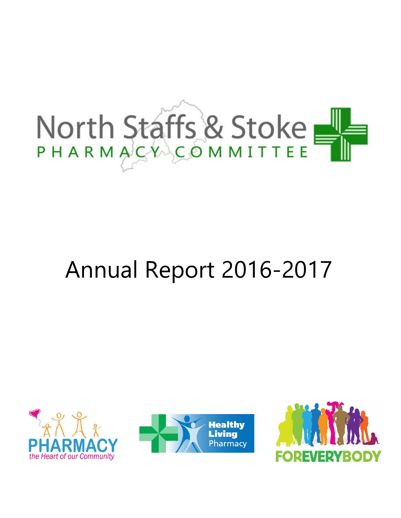

# Annual Report 2016-2017





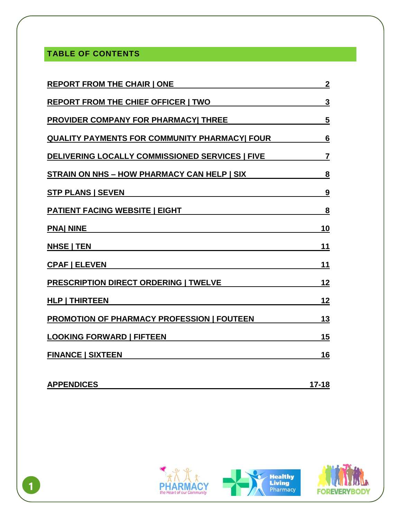# **TABLE OF CONTENTS**

| <b>REPORT FROM THE CHAIR   ONE</b>                   | $\overline{2}$          |
|------------------------------------------------------|-------------------------|
| <b>REPORT FROM THE CHIEF OFFICER   TWO</b>           | $\overline{\mathbf{3}}$ |
| <b>PROVIDER COMPANY FOR PHARMACY THREE</b>           | 5                       |
| <b>QUALITY PAYMENTS FOR COMMUNITY PHARMACY  FOUR</b> | 6                       |
| DELIVERING LOCALLY COMMISSIONED SERVICES   FIVE      | $\overline{7}$          |
| STRAIN ON NHS - HOW PHARMACY CAN HELP   SIX          | $\overline{\mathbf{8}}$ |
| <b>STP PLANS   SEVEN</b>                             | <u>9</u>                |
| <b>PATIENT FACING WEBSITE   EIGHT</b>                | 8                       |
| <b>PNAI NINE</b>                                     | 10                      |
| <b>NHSE   TEN</b>                                    | 11                      |
| <b>CPAF   ELEVEN</b>                                 | 11                      |
| <b>PRESCRIPTION DIRECT ORDERING   TWELVE</b>         | 12                      |
| <b>HLP   THIRTEEN</b>                                | 12                      |
| <b>PROMOTION OF PHARMACY PROFESSION   FOUTEEN</b>    | <u> 13</u>              |
| <b>LOOKING FORWARD   FIFTEEN</b>                     | 15                      |
| <b>FINANCE   SIXTEEN</b>                             | 16                      |
| <b>APPENDICES</b>                                    | $17 - 18$               |



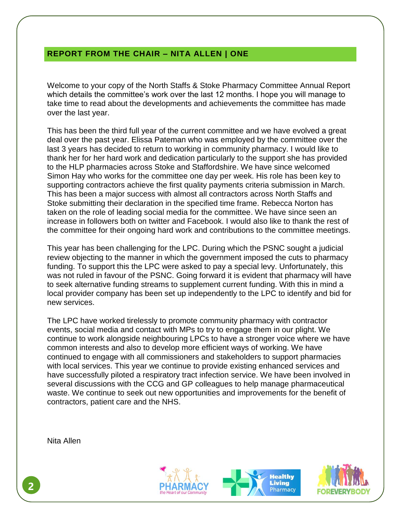## **REPORT FROM THE CHAIR – NITA ALLEN | ONE**

Welcome to your copy of the North Staffs & Stoke Pharmacy Committee Annual Report which details the committee's work over the last 12 months. I hope you will manage to take time to read about the developments and achievements the committee has made over the last year.

This has been the third full year of the current committee and we have evolved a great deal over the past year. Elissa Pateman who was employed by the committee over the last 3 years has decided to return to working in community pharmacy. I would like to thank her for her hard work and dedication particularly to the support she has provided to the HLP pharmacies across Stoke and Staffordshire. We have since welcomed Simon Hay who works for the committee one day per week. His role has been key to supporting contractors achieve the first quality payments criteria submission in March. This has been a major success with almost all contractors across North Staffs and Stoke submitting their declaration in the specified time frame. Rebecca Norton has taken on the role of leading social media for the committee. We have since seen an increase in followers both on twitter and Facebook. I would also like to thank the rest of the committee for their ongoing hard work and contributions to the committee meetings.

This year has been challenging for the LPC. During which the PSNC sought a judicial review objecting to the manner in which the government imposed the cuts to pharmacy funding. To support this the LPC were asked to pay a special levy. Unfortunately, this was not ruled in favour of the PSNC. Going forward it is evident that pharmacy will have to seek alternative funding streams to supplement current funding. With this in mind a local provider company has been set up independently to the LPC to identify and bid for new services.

The LPC have worked tirelessly to promote community pharmacy with contractor events, social media and contact with MPs to try to engage them in our plight. We continue to work alongside neighbouring LPCs to have a stronger voice where we have common interests and also to develop more efficient ways of working. We have continued to engage with all commissioners and stakeholders to support pharmacies with local services. This year we continue to provide existing enhanced services and have successfully piloted a respiratory tract infection service. We have been involved in several discussions with the CCG and GP colleagues to help manage pharmaceutical waste. We continue to seek out new opportunities and improvements for the benefit of contractors, patient care and the NHS.

Nita Allen



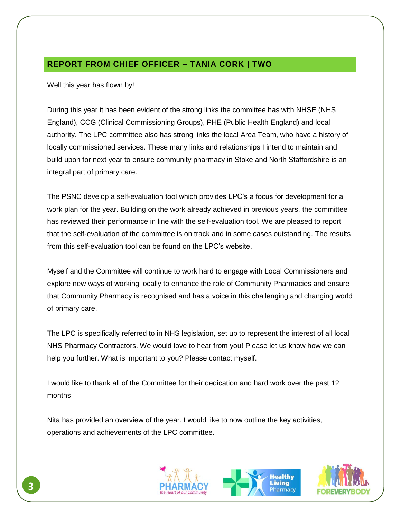# **REPORT FROM CHIEF OFFICER – TANIA CORK | TWO**

Well this year has flown by!

During this year it has been evident of the strong links the committee has with NHSE (NHS England), CCG (Clinical Commissioning Groups), PHE (Public Health England) and local authority. The LPC committee also has strong links the local Area Team, who have a history of locally commissioned services. These many links and relationships I intend to maintain and build upon for next year to ensure community pharmacy in Stoke and North Staffordshire is an integral part of primary care.

The PSNC develop a self-evaluation tool which provides LPC's a focus for development for a work plan for the year. Building on the work already achieved in previous years, the committee has reviewed their performance in line with the self-evaluation tool. We are pleased to report that the self-evaluation of the committee is on track and in some cases outstanding. The results from this self-evaluation tool can be found on the LPC's website.

Myself and the Committee will continue to work hard to engage with Local Commissioners and explore new ways of working locally to enhance the role of Community Pharmacies and ensure that Community Pharmacy is recognised and has a voice in this challenging and changing world of primary care.

The LPC is specifically referred to in NHS legislation, set up to represent the interest of all local NHS Pharmacy Contractors. We would love to hear from you! Please let us know how we can help you further. What is important to you? Please contact myself.

I would like to thank all of the Committee for their dedication and hard work over the past 12 months

Nita has provided an overview of the year. I would like to now outline the key activities, operations and achievements of the LPC committee.





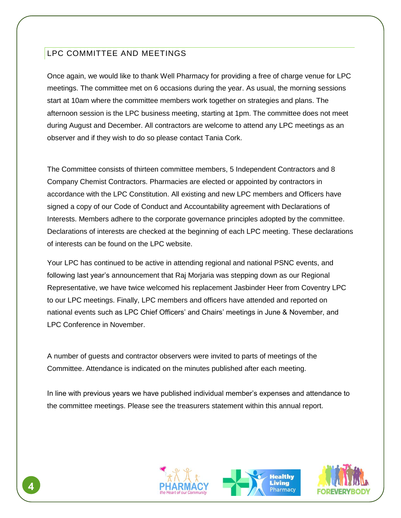# LPC COMMITTEE AND MEETINGS

Once again, we would like to thank Well Pharmacy for providing a free of charge venue for LPC meetings. The committee met on 6 occasions during the year. As usual, the morning sessions start at 10am where the committee members work together on strategies and plans. The afternoon session is the LPC business meeting, starting at 1pm. The committee does not meet during August and December. All contractors are welcome to attend any LPC meetings as an observer and if they wish to do so please contact Tania Cork.

The Committee consists of thirteen committee members, 5 Independent Contractors and 8 Company Chemist Contractors. Pharmacies are elected or appointed by contractors in accordance with the LPC Constitution. All existing and new LPC members and Officers have signed a copy of our Code of Conduct and Accountability agreement with Declarations of Interests. Members adhere to the corporate governance principles adopted by the committee. Declarations of interests are checked at the beginning of each LPC meeting. These declarations of interests can be found on the LPC website.

Your LPC has continued to be active in attending regional and national PSNC events, and following last year's announcement that Raj Morjaria was stepping down as our Regional Representative, we have twice welcomed his replacement Jasbinder Heer from Coventry LPC to our LPC meetings. Finally, LPC members and officers have attended and reported on national events such as LPC Chief Officers' and Chairs' meetings in June & November, and LPC Conference in November.

A number of guests and contractor observers were invited to parts of meetings of the Committee. Attendance is indicated on the minutes published after each meeting.

In line with previous years we have published individual member's expenses and attendance to the committee meetings. Please see the treasurers statement within this annual report.





iving.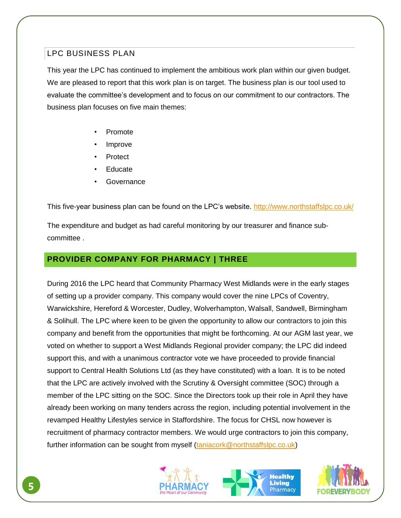# LPC BUSINESS PLAN

This year the LPC has continued to implement the ambitious work plan within our given budget. We are pleased to report that this work plan is on target. The business plan is our tool used to evaluate the committee's development and to focus on our commitment to our contractors. The business plan focuses on five main themes:

- Promote
- Improve
- Protect
- **Educate**
- **Governance**

This five-year business plan can be found on the LPC's website. <http://www.northstaffslpc.co.uk/>

The expenditure and budget as had careful monitoring by our treasurer and finance subcommittee .

# **PROVIDER COMPANY FOR PHARMACY | THREE**

During 2016 the LPC heard that Community Pharmacy West Midlands were in the early stages of setting up a provider company. This company would cover the nine LPCs of Coventry, Warwickshire, Hereford & Worcester, Dudley, Wolverhampton, Walsall, Sandwell, Birmingham & Solihull. The LPC where keen to be given the opportunity to allow our contractors to join this company and benefit from the opportunities that might be forthcoming. At our AGM last year, we voted on whether to support a West Midlands Regional provider company; the LPC did indeed support this, and with a unanimous contractor vote we have proceeded to provide financial support to Central Health Solutions Ltd (as they have constituted) with a loan. It is to be noted that the LPC are actively involved with the Scrutiny & Oversight committee (SOC) through a member of the LPC sitting on the SOC. Since the Directors took up their role in April they have already been working on many tenders across the region, including potential involvement in the revamped Healthy Lifestyles service in Staffordshire. The focus for CHSL now however is recruitment of pharmacy contractor members. We would urge contractors to join this company, further information can be sought from myself [\(taniacork@northstaffslpc.co.uk\)](mailto:taniacork@northstaffslpc.co.uk)





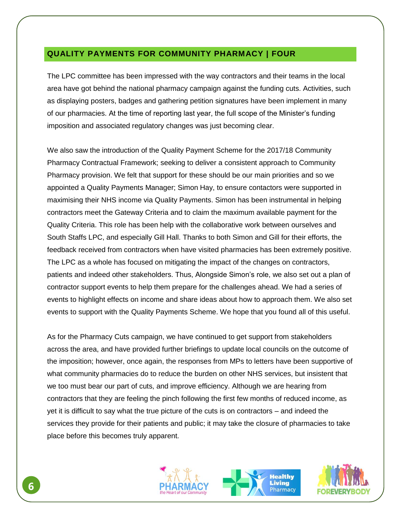## **QUALITY PAYMENTS FOR COMMUNITY PHARMACY | FOUR**

The LPC committee has been impressed with the way contractors and their teams in the local area have got behind the national pharmacy campaign against the funding cuts. Activities, such as displaying posters, badges and gathering petition signatures have been implement in many of our pharmacies. At the time of reporting last year, the full scope of the Minister's funding imposition and associated regulatory changes was just becoming clear.

We also saw the introduction of the Quality Payment Scheme for the 2017/18 Community Pharmacy Contractual Framework; seeking to deliver a consistent approach to Community Pharmacy provision. We felt that support for these should be our main priorities and so we appointed a Quality Payments Manager; Simon Hay, to ensure contactors were supported in maximising their NHS income via Quality Payments. Simon has been instrumental in helping contractors meet the Gateway Criteria and to claim the maximum available payment for the Quality Criteria. This role has been help with the collaborative work between ourselves and South Staffs LPC, and especially Gill Hall. Thanks to both Simon and Gill for their efforts, the feedback received from contractors when have visited pharmacies has been extremely positive. The LPC as a whole has focused on mitigating the impact of the changes on contractors, patients and indeed other stakeholders. Thus, Alongside Simon's role, we also set out a plan of contractor support events to help them prepare for the challenges ahead. We had a series of events to highlight effects on income and share ideas about how to approach them. We also set events to support with the Quality Payments Scheme. We hope that you found all of this useful.

As for the Pharmacy Cuts campaign, we have continued to get support from stakeholders across the area, and have provided further briefings to update local councils on the outcome of the imposition; however, once again, the responses from MPs to letters have been supportive of what community pharmacies do to reduce the burden on other NHS services, but insistent that we too must bear our part of cuts, and improve efficiency. Although we are hearing from contractors that they are feeling the pinch following the first few months of reduced income, as yet it is difficult to say what the true picture of the cuts is on contractors – and indeed the services they provide for their patients and public; it may take the closure of pharmacies to take place before this becomes truly apparent.





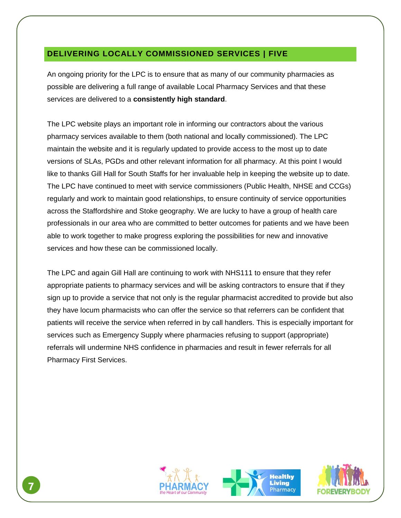## **DELIVERING LOCALLY COMMISSIONED SERVICES | FIVE**

An ongoing priority for the LPC is to ensure that as many of our community pharmacies as possible are delivering a full range of available Local Pharmacy Services and that these services are delivered to a **consistently high standard**.

The LPC website plays an important role in informing our contractors about the various pharmacy services available to them (both national and locally commissioned). The LPC maintain the website and it is regularly updated to provide access to the most up to date versions of SLAs, PGDs and other relevant information for all pharmacy. At this point I would like to thanks Gill Hall for South Staffs for her invaluable help in keeping the website up to date. The LPC have continued to meet with service commissioners (Public Health, NHSE and CCGs) regularly and work to maintain good relationships, to ensure continuity of service opportunities across the Staffordshire and Stoke geography. We are lucky to have a group of health care professionals in our area who are committed to better outcomes for patients and we have been able to work together to make progress exploring the possibilities for new and innovative services and how these can be commissioned locally.

The LPC and again Gill Hall are continuing to work with NHS111 to ensure that they refer appropriate patients to pharmacy services and will be asking contractors to ensure that if they sign up to provide a service that not only is the regular pharmacist accredited to provide but also they have locum pharmacists who can offer the service so that referrers can be confident that patients will receive the service when referred in by call handlers. This is especially important for services such as Emergency Supply where pharmacies refusing to support (appropriate) referrals will undermine NHS confidence in pharmacies and result in fewer referrals for all Pharmacy First Services.





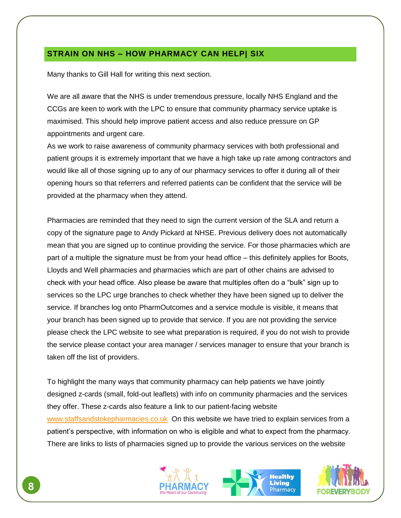## **STRAIN ON NHS – HOW PHARMACY CAN HELP| SIX**

Many thanks to Gill Hall for writing this next section.

We are all aware that the NHS is under tremendous pressure, locally NHS England and the CCGs are keen to work with the LPC to ensure that community pharmacy service uptake is maximised. This should help improve patient access and also reduce pressure on GP appointments and urgent care.

As we work to raise awareness of community pharmacy services with both professional and patient groups it is extremely important that we have a high take up rate among contractors and would like all of those signing up to any of our pharmacy services to offer it during all of their opening hours so that referrers and referred patients can be confident that the service will be provided at the pharmacy when they attend.

Pharmacies are reminded that they need to sign the current version of the SLA and return a copy of the signature page to Andy Pickard at NHSE. Previous delivery does not automatically mean that you are signed up to continue providing the service. For those pharmacies which are part of a multiple the signature must be from your head office – this definitely applies for Boots, Lloyds and Well pharmacies and pharmacies which are part of other chains are advised to check with your head office. Also please be aware that multiples often do a "bulk" sign up to services so the LPC urge branches to check whether they have been signed up to deliver the service. If branches log onto PharmOutcomes and a service module is visible, it means that your branch has been signed up to provide that service. If you are not providing the service please check the LPC website to see what preparation is required, if you do not wish to provide the service please contact your area manager / services manager to ensure that your branch is taken off the list of providers.

To highlight the many ways that community pharmacy can help patients we have jointly designed z-cards (small, fold-out leaflets) with info on community pharmacies and the services they offer. These z-cards also feature a link to our patient-facing website [www.staffsandstokepharmacies.co.uk](http://www.staffsandstokepharmacies.co.uk/) On this website we have tried to explain services from a patient's perspective, with information on who is eligible and what to expect from the pharmacy. There are links to lists of pharmacies signed up to provide the various services on the website





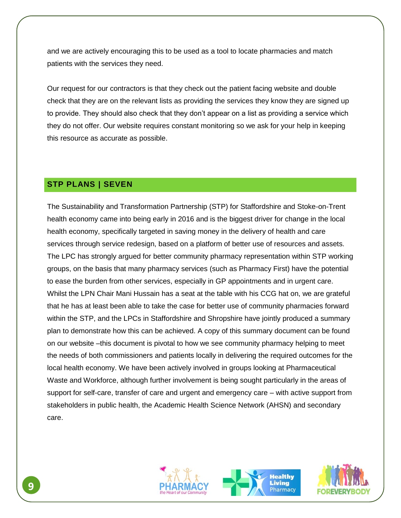and we are actively encouraging this to be used as a tool to locate pharmacies and match patients with the services they need.

Our request for our contractors is that they check out the patient facing website and double check that they are on the relevant lists as providing the services they know they are signed up to provide. They should also check that they don't appear on a list as providing a service which they do not offer. Our website requires constant monitoring so we ask for your help in keeping this resource as accurate as possible.

# **STP PLANS | SEVEN**

The Sustainability and Transformation Partnership (STP) for Staffordshire and Stoke-on-Trent health economy came into being early in 2016 and is the biggest driver for change in the local health economy, specifically targeted in saving money in the delivery of health and care services through service redesign, based on a platform of better use of resources and assets. The LPC has strongly argued for better community pharmacy representation within STP working groups, on the basis that many pharmacy services (such as Pharmacy First) have the potential to ease the burden from other services, especially in GP appointments and in urgent care. Whilst the LPN Chair Mani Hussain has a seat at the table with his CCG hat on, we are grateful that he has at least been able to take the case for better use of community pharmacies forward within the STP, and the LPCs in Staffordshire and Shropshire have jointly produced a summary plan to demonstrate how this can be achieved. A copy of this summary document can be found on our website –this document is pivotal to how we see community pharmacy helping to meet the needs of both commissioners and patients locally in delivering the required outcomes for the local health economy. We have been actively involved in groups looking at Pharmaceutical Waste and Workforce, although further involvement is being sought particularly in the areas of support for self-care, transfer of care and urgent and emergency care – with active support from stakeholders in public health, the Academic Health Science Network (AHSN) and secondary care.





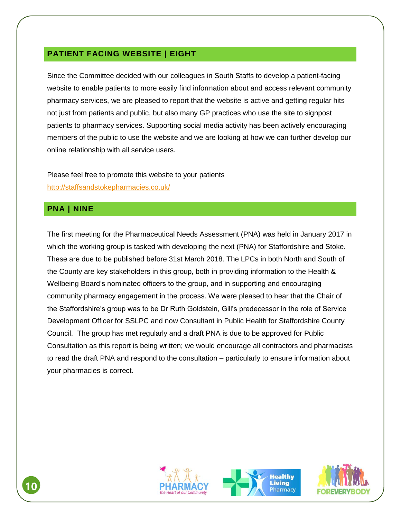## **PATIENT FACING WEBSITE | EIGHT**

Since the Committee decided with our colleagues in South Staffs to develop a patient-facing website to enable patients to more easily find information about and access relevant community pharmacy services, we are pleased to report that the website is active and getting regular hits not just from patients and public, but also many GP practices who use the site to signpost patients to pharmacy services. Supporting social media activity has been actively encouraging members of the public to use the website and we are looking at how we can further develop our online relationship with all service users.

Please feel free to promote this website to your patients <http://staffsandstokepharmacies.co.uk/>

## **PNA | NINE**

The first meeting for the Pharmaceutical Needs Assessment (PNA) was held in January 2017 in which the working group is tasked with developing the next (PNA) for Staffordshire and Stoke. These are due to be published before 31st March 2018. The LPCs in both North and South of the County are key stakeholders in this group, both in providing information to the Health & Wellbeing Board's nominated officers to the group, and in supporting and encouraging community pharmacy engagement in the process. We were pleased to hear that the Chair of the Staffordshire's group was to be Dr Ruth Goldstein, Gill's predecessor in the role of Service Development Officer for SSLPC and now Consultant in Public Health for Staffordshire County Council. The group has met regularly and a draft PNA is due to be approved for Public Consultation as this report is being written; we would encourage all contractors and pharmacists to read the draft PNA and respond to the consultation – particularly to ensure information about your pharmacies is correct.





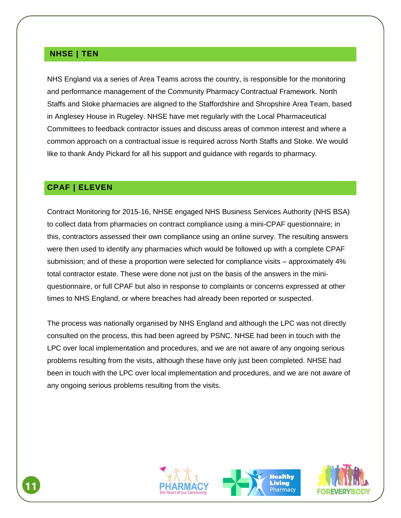#### **NHSE | TEN**

NHS England via a series of Area Teams across the country, is responsible for the monitoring and performance management of the Community Pharmacy Contractual Framework. North Staffs and Stoke pharmacies are aligned to the Staffordshire and Shropshire Area Team, based in Anglesey House in Rugeley. NHSE have met regularly with the Local Pharmaceutical Committees to feedback contractor issues and discuss areas of common interest and where a common approach on a contractual issue is required across North Staffs and Stoke. We would like to thank Andy Pickard for all his support and guidance with regards to pharmacy.

#### **CPAF | ELEVEN**

Contract Monitoring for 2015-16, NHSE engaged NHS Business Services Authority (NHS BSA) to collect data from pharmacies on contract compliance using a mini-CPAF questionnaire; in this, contractors assessed their own compliance using an online survey. The resulting answers were then used to identify any pharmacies which would be followed up with a complete CPAF submission; and of these a proportion were selected for compliance visits – approximately 4% total contractor estate. These were done not just on the basis of the answers in the miniquestionnaire, or full CPAF but also in response to complaints or concerns expressed at other times to NHS England, or where breaches had already been reported or suspected.

The process was nationally organised by NHS England and although the LPC was not directly consulted on the process, this had been agreed by PSNC. NHSE had been in touch with the LPC over local implementation and procedures, and we are not aware of any ongoing serious problems resulting from the visits, although these have only just been completed. NHSE had been in touch with the LPC over local implementation and procedures, and we are not aware of any ongoing serious problems resulting from the visits.





**Healthy** .iving Pharmacy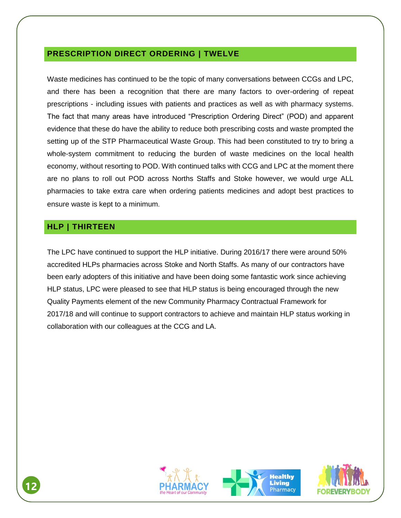#### **PRESCRIPTION DIRECT ORDERING | TWELVE**

Waste medicines has continued to be the topic of many conversations between CCGs and LPC, and there has been a recognition that there are many factors to over-ordering of repeat prescriptions - including issues with patients and practices as well as with pharmacy systems. The fact that many areas have introduced "Prescription Ordering Direct" (POD) and apparent evidence that these do have the ability to reduce both prescribing costs and waste prompted the setting up of the STP Pharmaceutical Waste Group. This had been constituted to try to bring a whole-system commitment to reducing the burden of waste medicines on the local health economy, without resorting to POD. With continued talks with CCG and LPC at the moment there are no plans to roll out POD across Norths Staffs and Stoke however, we would urge ALL pharmacies to take extra care when ordering patients medicines and adopt best practices to ensure waste is kept to a minimum.

#### **HLP | THIRTEEN**

The LPC have continued to support the HLP initiative. During 2016/17 there were around 50% accredited HLPs pharmacies across Stoke and North Staffs. As many of our contractors have been early adopters of this initiative and have been doing some fantastic work since achieving HLP status, LPC were pleased to see that HLP status is being encouraged through the new Quality Payments element of the new Community Pharmacy Contractual Framework for 2017/18 and will continue to support contractors to achieve and maintain HLP status working in collaboration with our colleagues at the CCG and LA.





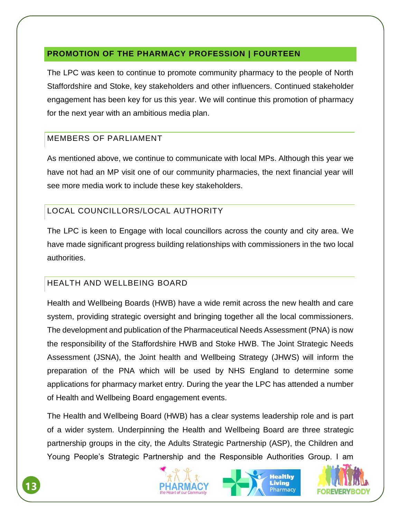# **PROMOTION OF THE PHARMACY PROFESSION | FOURTEEN**

The LPC was keen to continue to promote community pharmacy to the people of North Staffordshire and Stoke, key stakeholders and other influencers. Continued stakeholder engagement has been key for us this year. We will continue this promotion of pharmacy for the next year with an ambitious media plan.

# MEMBERS OF PARLIAMENT

As mentioned above, we continue to communicate with local MPs. Although this year we have not had an MP visit one of our community pharmacies, the next financial year will see more media work to include these key stakeholders.

# LOCAL COUNCILLORS/LOCAL AUTHORITY

The LPC is keen to Engage with local councillors across the county and city area. We have made significant progress building relationships with commissioners in the two local authorities.

# HEALTH AND WELLBEING BOARD

Health and Wellbeing Boards (HWB) have a wide remit across the new health and care system, providing strategic oversight and bringing together all the local commissioners. The development and publication of the Pharmaceutical Needs Assessment (PNA) is now the responsibility of the Staffordshire HWB and Stoke HWB. The Joint Strategic Needs Assessment (JSNA), the Joint health and Wellbeing Strategy (JHWS) will inform the preparation of the PNA which will be used by NHS England to determine some applications for pharmacy market entry. During the year the LPC has attended a number of Health and Wellbeing Board engagement events.

The Health and Wellbeing Board (HWB) has a clear systems leadership role and is part of a wider system. Underpinning the Health and Wellbeing Board are three strategic partnership groups in the city, the Adults Strategic Partnership (ASP), the Children and Young People's Strategic Partnership and the Responsible Authorities Group. I am





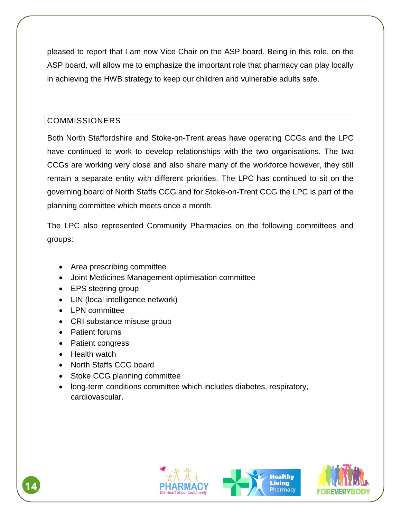pleased to report that I am now Vice Chair on the ASP board. Being in this role, on the ASP board, will allow me to emphasize the important role that pharmacy can play locally in achieving the HWB strategy to keep our children and vulnerable adults safe.

# COMMISSIONERS

Both North Staffordshire and Stoke-on-Trent areas have operating CCGs and the LPC have continued to work to develop relationships with the two organisations. The two CCGs are working very close and also share many of the workforce however, they still remain a separate entity with different priorities. The LPC has continued to sit on the governing board of North Staffs CCG and for Stoke-on-Trent CCG the LPC is part of the planning committee which meets once a month.

The LPC also represented Community Pharmacies on the following committees and groups:

- Area prescribing committee
- Joint Medicines Management optimisation committee
- EPS steering group
- LIN (local intelligence network)
- LPN committee
- CRI substance misuse group
- Patient forums
- Patient congress
- Health watch
- North Staffs CCG board
- Stoke CCG planning committee
- long-term conditions committee which includes diabetes, respiratory, cardiovascular.





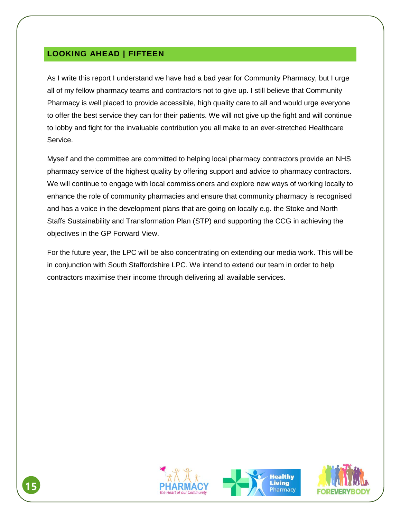## **LOOKING AHEAD | FIFTEEN**

As I write this report I understand we have had a bad year for Community Pharmacy, but I urge all of my fellow pharmacy teams and contractors not to give up. I still believe that Community Pharmacy is well placed to provide accessible, high quality care to all and would urge everyone to offer the best service they can for their patients. We will not give up the fight and will continue to lobby and fight for the invaluable contribution you all make to an ever-stretched Healthcare Service.

Myself and the committee are committed to helping local pharmacy contractors provide an NHS pharmacy service of the highest quality by offering support and advice to pharmacy contractors. We will continue to engage with local commissioners and explore new ways of working locally to enhance the role of community pharmacies and ensure that community pharmacy is recognised and has a voice in the development plans that are going on locally e.g. the Stoke and North Staffs Sustainability and Transformation Plan (STP) and supporting the CCG in achieving the objectives in the GP Forward View.

For the future year, the LPC will be also concentrating on extending our media work. This will be in conjunction with South Staffordshire LPC. We intend to extend our team in order to help contractors maximise their income through delivering all available services.





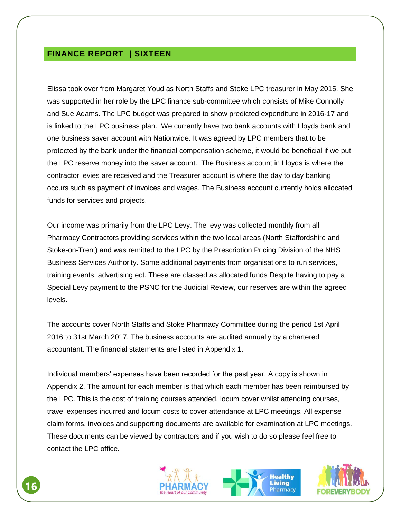#### **FINANCE REPORT | SIXTEEN**

Elissa took over from Margaret Youd as North Staffs and Stoke LPC treasurer in May 2015. She was supported in her role by the LPC finance sub-committee which consists of Mike Connolly and Sue Adams. The LPC budget was prepared to show predicted expenditure in 2016-17 and is linked to the LPC business plan. We currently have two bank accounts with Lloyds bank and one business saver account with Nationwide. It was agreed by LPC members that to be protected by the bank under the financial compensation scheme, it would be beneficial if we put the LPC reserve money into the saver account. The Business account in Lloyds is where the contractor levies are received and the Treasurer account is where the day to day banking occurs such as payment of invoices and wages. The Business account currently holds allocated funds for services and projects.

Our income was primarily from the LPC Levy. The levy was collected monthly from all Pharmacy Contractors providing services within the two local areas (North Staffordshire and Stoke-on-Trent) and was remitted to the LPC by the Prescription Pricing Division of the NHS Business Services Authority. Some additional payments from organisations to run services, training events, advertising ect. These are classed as allocated funds Despite having to pay a Special Levy payment to the PSNC for the Judicial Review, our reserves are within the agreed levels.

The accounts cover North Staffs and Stoke Pharmacy Committee during the period 1st April 2016 to 31st March 2017. The business accounts are audited annually by a chartered accountant. The financial statements are listed in Appendix 1.

Individual members' expenses have been recorded for the past year. A copy is shown in Appendix 2. The amount for each member is that which each member has been reimbursed by the LPC. This is the cost of training courses attended, locum cover whilst attending courses, travel expenses incurred and locum costs to cover attendance at LPC meetings. All expense claim forms, invoices and supporting documents are available for examination at LPC meetings. These documents can be viewed by contractors and if you wish to do so please feel free to contact the LPC office.





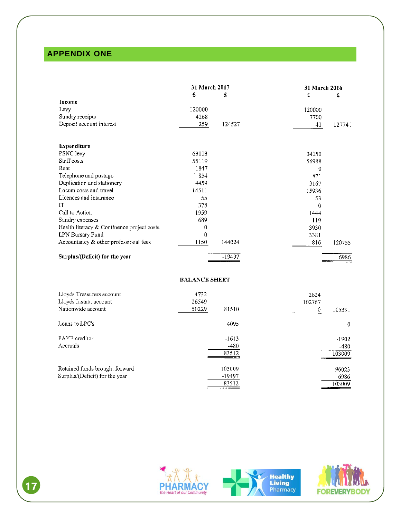# **APPENDIX ONE**

|                                            | 31 March 2017        |          |          | 31 March 2016    |  |  |
|--------------------------------------------|----------------------|----------|----------|------------------|--|--|
|                                            | £                    | £        | £        | £                |  |  |
| Income                                     |                      |          |          |                  |  |  |
| Levy                                       | 120000               |          | 120000   |                  |  |  |
| Sundry receipts                            | 4268                 |          | 7700     |                  |  |  |
| Deposit account interest                   | 259                  | 124527   | 41       | 127741           |  |  |
|                                            |                      |          |          |                  |  |  |
| <b>Expenditure</b>                         |                      |          |          |                  |  |  |
| PSNC levy                                  | 63003                |          | 34050    |                  |  |  |
| Staff costs                                | 55119                |          | 56988    |                  |  |  |
| Rent                                       | 1847                 |          | 0        |                  |  |  |
| Telephone and postage                      | 854                  |          | 871      |                  |  |  |
| Duplication and stationery                 | 4459                 |          | 3167     |                  |  |  |
| Locum costs and travel                     | 14511                |          | 15936    |                  |  |  |
| Licences and insurance                     | 55                   |          | 53       |                  |  |  |
| IT                                         | 378                  |          | $\Omega$ |                  |  |  |
| Call to Action                             | 1959                 |          | 1444     |                  |  |  |
| Sundry expenses                            | 689                  |          | 119      |                  |  |  |
| Health literacy & Continence project costs | 0                    |          | 3930     |                  |  |  |
| LPN Bursary Fund                           | $\overline{0}$       |          | 3381     |                  |  |  |
| Accountancy & other professional fees      | 1150                 | 144024   | 816      | 120755           |  |  |
| Surplus/(Deficit) for the year             |                      | $-19497$ |          | 6986             |  |  |
|                                            |                      |          |          |                  |  |  |
|                                            | <b>BALANCE SHEET</b> |          |          |                  |  |  |
| Lloyds Treasurers account                  | 4732                 |          | 2624     |                  |  |  |
| Lloyds Instant account                     | 26549                |          | 102767   |                  |  |  |
| Nationwide account                         | 50229                | 81510    | 0        | 105391           |  |  |
| Loans to LPC's                             |                      | 4095     |          | $\boldsymbol{0}$ |  |  |
| PAYE creditor                              |                      | $-1613$  |          | $-1902$          |  |  |
| Accruals                                   |                      | $-480$   |          | $-480$           |  |  |
|                                            |                      | 83512    |          | 103009           |  |  |
| Retained funds brought forward             |                      | 103009   |          | 96023            |  |  |
| Surplus/(Deficit) for the year             |                      | -19497   |          | 6986             |  |  |
|                                            |                      | 83512    |          | 103009           |  |  |







**17**